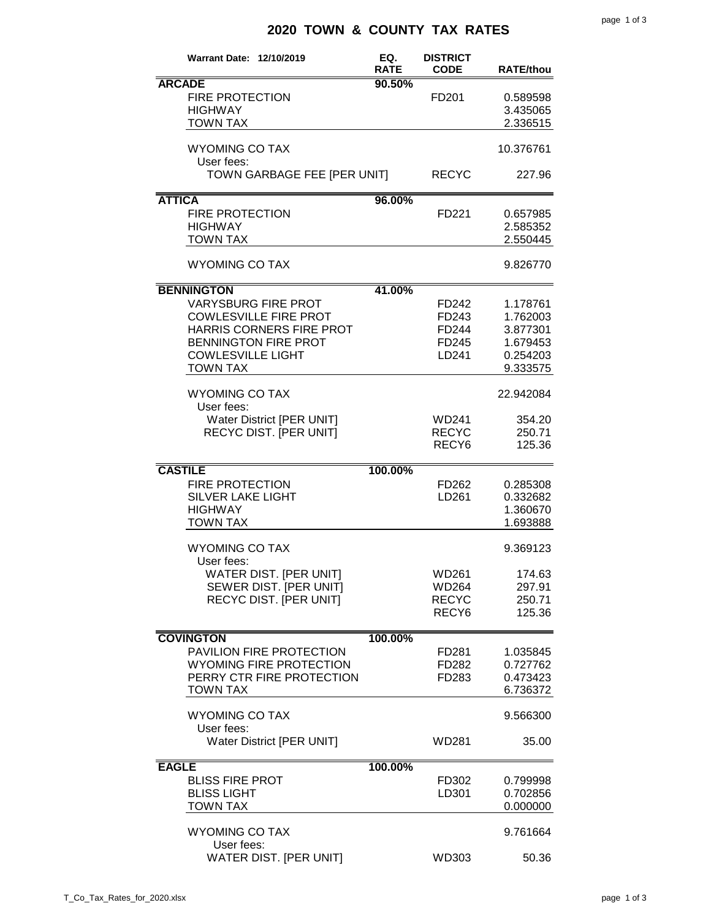## **2020 TOWN & COUNTY TAX RATES**

| <b>Warrant Date: 12/10/2019</b>                                                                                                                                                           | EQ.<br><b>RATE</b> | <b>DISTRICT</b><br><b>CODE</b>                      | <b>RATE/thou</b>                                                     |
|-------------------------------------------------------------------------------------------------------------------------------------------------------------------------------------------|--------------------|-----------------------------------------------------|----------------------------------------------------------------------|
| <b>ARCADE</b><br><b>FIRE PROTECTION</b><br><b>HIGHWAY</b><br><b>TOWN TAX</b>                                                                                                              | 90.50%             | FD <sub>201</sub>                                   | 0.589598<br>3.435065<br>2.336515                                     |
| <b>WYOMING CO TAX</b><br>User fees:                                                                                                                                                       |                    |                                                     | 10.376761                                                            |
| TOWN GARBAGE FEE [PER UNIT]                                                                                                                                                               |                    | <b>RECYC</b>                                        | 227.96                                                               |
| <b>ATTICA</b><br><b>FIRE PROTECTION</b><br><b>HIGHWAY</b><br><b>TOWN TAX</b>                                                                                                              | 96.00%             | FD221                                               | 0.657985<br>2.585352<br>2.550445                                     |
| <b>WYOMING CO TAX</b>                                                                                                                                                                     |                    |                                                     | 9.826770                                                             |
| <b>BENNINGTON</b><br><b>VARYSBURG FIRE PROT</b><br><b>COWLESVILLE FIRE PROT</b><br>HARRIS CORNERS FIRE PROT<br><b>BENNINGTON FIRE PROT</b><br><b>COWLESVILLE LIGHT</b><br><b>TOWN TAX</b> | 41.00%             | FD242<br>FD243<br>FD244<br>FD245<br>LD241           | 1.178761<br>1.762003<br>3.877301<br>1.679453<br>0.254203<br>9.333575 |
| <b>WYOMING CO TAX</b><br>User fees:                                                                                                                                                       |                    |                                                     | 22.942084                                                            |
| Water District [PER UNIT]<br>RECYC DIST. [PER UNIT]                                                                                                                                       |                    | WD241<br><b>RECYC</b><br>RECY <sub>6</sub>          | 354.20<br>250.71<br>125.36                                           |
| <b>CASTILE</b><br><b>FIRE PROTECTION</b><br><b>SILVER LAKE LIGHT</b><br><b>HIGHWAY</b><br><b>TOWN TAX</b>                                                                                 | 100.00%            | FD262<br>LD <sub>261</sub>                          | 0.285308<br>0.332682<br>1.360670<br>1.693888                         |
| <b>WYOMING CO TAX</b>                                                                                                                                                                     |                    |                                                     | 9.369123                                                             |
| User fees:<br>WATER DIST. [PER UNIT]<br>SEWER DIST. [PER UNIT]<br><b>RECYC DIST. [PER UNIT]</b>                                                                                           |                    | WD261<br>WD264<br><b>RECYC</b><br>RECY <sub>6</sub> | 174.63<br>297.91<br>250.71<br>125.36                                 |
| <b>COVINGTON</b>                                                                                                                                                                          | 100.00%            |                                                     |                                                                      |
| PAVILION FIRE PROTECTION<br><b>WYOMING FIRE PROTECTION</b><br>PERRY CTR FIRE PROTECTION<br><b>TOWN TAX</b>                                                                                |                    | FD281<br>FD282<br>FD283                             | 1.035845<br>0.727762<br>0.473423<br>6.736372                         |
| <b>WYOMING CO TAX</b>                                                                                                                                                                     |                    |                                                     | 9.566300                                                             |
| User fees:<br>Water District [PER UNIT]                                                                                                                                                   |                    | WD281                                               | 35.00                                                                |
| <b>EAGLE</b><br><b>BLISS FIRE PROT</b><br><b>BLISS LIGHT</b><br><b>TOWN TAX</b>                                                                                                           | 100.00%            | FD302<br>LD301                                      | 0.799998<br>0.702856<br>0.000000                                     |
| <b>WYOMING CO TAX</b>                                                                                                                                                                     |                    |                                                     | 9.761664                                                             |
| User fees:<br>WATER DIST. [PER UNIT]                                                                                                                                                      |                    | WD303                                               | 50.36                                                                |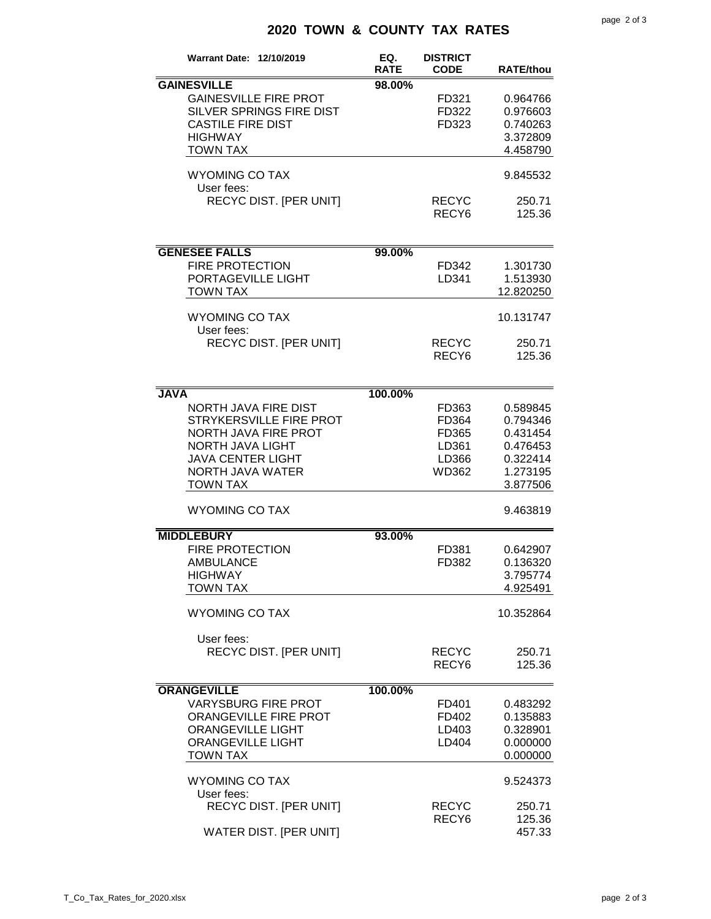## **2020 TOWN & COUNTY TAX RATES**

| <b>Warrant Date: 12/10/2019</b>                                                                                                                                       | EQ.<br><b>RATE</b> | <b>DISTRICT</b><br><b>CODE</b>                     | <b>RATE/thou</b>                                                                 |
|-----------------------------------------------------------------------------------------------------------------------------------------------------------------------|--------------------|----------------------------------------------------|----------------------------------------------------------------------------------|
| <b>GAINESVILLE</b><br><b>GAINESVILLE FIRE PROT</b><br>SILVER SPRINGS FIRE DIST<br><b>CASTILE FIRE DIST</b><br><b>HIGHWAY</b><br><b>TOWN TAX</b>                       | 98.00%             | FD321<br>FD322<br>FD323                            | 0.964766<br>0.976603<br>0.740263<br>3.372809<br>4.458790                         |
| <b>WYOMING CO TAX</b><br>User fees:                                                                                                                                   |                    |                                                    | 9.845532                                                                         |
| RECYC DIST. [PER UNIT]                                                                                                                                                |                    | <b>RECYC</b><br>RECY <sub>6</sub>                  | 250.71<br>125.36                                                                 |
| <b>GENESEE FALLS</b>                                                                                                                                                  | 99.00%             |                                                    |                                                                                  |
| <b>FIRE PROTECTION</b><br>PORTAGEVILLE LIGHT<br><b>TOWN TAX</b>                                                                                                       |                    | FD342<br>LD341                                     | 1.301730<br>1.513930<br>12.820250                                                |
| <b>WYOMING CO TAX</b><br>User fees:                                                                                                                                   |                    |                                                    | 10.131747                                                                        |
| RECYC DIST. [PER UNIT]                                                                                                                                                |                    | <b>RECYC</b><br>RECY <sub>6</sub>                  | 250.71<br>125.36                                                                 |
| <b>JAVA</b>                                                                                                                                                           | 100.00%            |                                                    |                                                                                  |
| <b>NORTH JAVA FIRE DIST</b><br>STRYKERSVILLE FIRE PROT<br>NORTH JAVA FIRE PROT<br>NORTH JAVA LIGHT<br><b>JAVA CENTER LIGHT</b><br>NORTH JAVA WATER<br><b>TOWN TAX</b> |                    | FD363<br>FD364<br>FD365<br>LD361<br>LD366<br>WD362 | 0.589845<br>0.794346<br>0.431454<br>0.476453<br>0.322414<br>1.273195<br>3.877506 |
| <b>WYOMING CO TAX</b>                                                                                                                                                 |                    |                                                    | 9.463819                                                                         |
| <b>MIDDLEBURY</b>                                                                                                                                                     | 93.00%             |                                                    |                                                                                  |
| <b>FIRE PROTECTION</b><br><b>AMBULANCE</b><br><b>HIGHWAY</b><br><b>TOWN TAX</b>                                                                                       |                    | FD381<br>FD382                                     | 0.642907<br>0.136320<br>3.795774<br>4.925491                                     |
| <b>WYOMING CO TAX</b>                                                                                                                                                 |                    |                                                    | 10.352864                                                                        |
| User fees:<br><b>RECYC DIST. [PER UNIT]</b>                                                                                                                           |                    | <b>RECYC</b><br>RECY <sub>6</sub>                  | 250.71<br>125.36                                                                 |
| <b>ORANGEVILLE</b>                                                                                                                                                    | 100.00%            |                                                    |                                                                                  |
| <b>VARYSBURG FIRE PROT</b><br>ORANGEVILLE FIRE PROT<br><b>ORANGEVILLE LIGHT</b><br><b>ORANGEVILLE LIGHT</b><br><b>TOWN TAX</b>                                        |                    | FD401<br>FD402<br>LD403<br>LD404                   | 0.483292<br>0.135883<br>0.328901<br>0.000000<br>0.000000                         |
| <b>WYOMING CO TAX</b><br>User fees:                                                                                                                                   |                    |                                                    | 9.524373                                                                         |
| RECYC DIST. [PER UNIT]<br>WATER DIST. [PER UNIT]                                                                                                                      |                    | <b>RECYC</b><br>RECY <sub>6</sub>                  | 250.71<br>125.36<br>457.33                                                       |